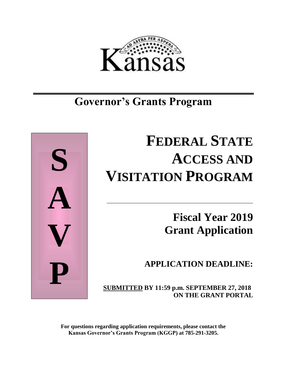

# **Governor's Grants Program**



# **FEDERAL STATE ACCESS AND VISITATION PROGRAM**

\_\_\_\_\_\_\_\_\_\_\_\_\_\_\_\_\_\_\_\_\_\_\_\_\_\_\_\_\_\_\_\_\_\_\_\_\_\_\_\_\_\_\_\_\_\_\_\_\_\_\_\_

**Fiscal Year 2019 Grant Application**

**APPLICATION DEADLINE:**

**SUBMITTED BY 11:59 p.m. SEPTEMBER 27, 2018 ON THE GRANT PORTAL**

**For questions regarding application requirements, please contact the Kansas Governor's Grants Program (KGGP) at 785-291-3205.**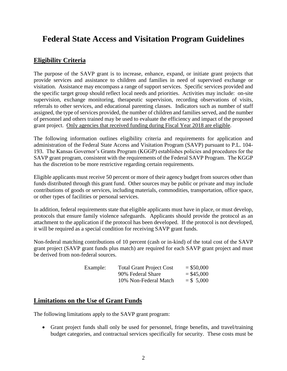# **Federal State Access and Visitation Program Guidelines**

# **Eligibility Criteria**

The purpose of the SAVP grant is to increase, enhance, expand, or initiate grant projects that provide services and assistance to children and families in need of supervised exchange or visitation. Assistance may encompass a range of support services. Specific services provided and the specific target group should reflect local needs and priorities. Activities may include: on-site supervision, exchange monitoring, therapeutic supervision, recording observations of visits, referrals to other services, and educational parenting classes. Indicators such as number of staff assigned, the type of services provided, the number of children and families served, and the number of personnel and others trained may be used to evaluate the efficiency and impact of the proposed grant project. Only agencies that received funding during Fiscal Year 2018 are eligible.

The following information outlines eligibility criteria and requirements for application and administration of the Federal State Access and Visitation Program (SAVP) pursuant to P.L. 104- 193. The Kansas Governor's Grants Program (KGGP) establishes policies and procedures for the SAVP grant program, consistent with the requirements of the Federal SAVP Program. The KGGP has the discretion to be more restrictive regarding certain requirements.

Eligible applicants must receive 50 percent or more of their agency budget from sources other than funds distributed through this grant fund. Other sources may be public or private and may include contributions of goods or services, including materials, commodities, transportation, office space, or other types of facilities or personal services.

In addition, federal requirements state that eligible applicants must have in place, or must develop, protocols that ensure family violence safeguards. Applicants should provide the protocol as an attachment to the application if the protocol has been developed. If the protocol is not developed, it will be required as a special condition for receiving SAVP grant funds.

Non-federal matching contributions of 10 percent (cash or in-kind) of the total cost of the SAVP grant project (SAVP grant funds plus match) are required for each SAVP grant project and must be derived from non-federal sources.

| Example: | <b>Total Grant Project Cost</b> | $=$ \$50,000 |
|----------|---------------------------------|--------------|
|          | 90% Federal Share               | $=$ \$45,000 |
|          | 10% Non-Federal Match           | $=$ \$ 5,000 |

# **Limitations on the Use of Grant Funds**

The following limitations apply to the SAVP grant program:

• Grant project funds shall only be used for personnel, fringe benefits, and travel/training budget categories, and contractual services specifically for security. These costs must be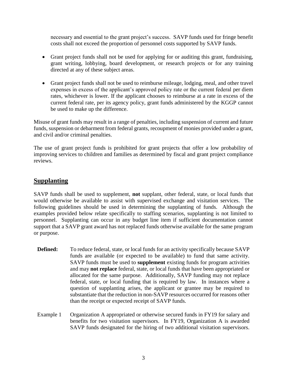necessary and essential to the grant project's success. SAVP funds used for fringe benefit costs shall not exceed the proportion of personnel costs supported by SAVP funds.

- Grant project funds shall not be used for applying for or auditing this grant, fundraising, grant writing, lobbying, board development, or research projects or for any training directed at any of these subject areas.
- Grant project funds shall not be used to reimburse mileage, lodging, meal, and other travel expenses in excess of the applicant's approved policy rate or the current federal per diem rates, whichever is lower. If the applicant chooses to reimburse at a rate in excess of the current federal rate, per its agency policy, grant funds administered by the KGGP cannot be used to make up the difference.

Misuse of grant funds may result in a range of penalties, including suspension of current and future funds, suspension or debarment from federal grants, recoupment of monies provided under a grant, and civil and/or criminal penalties.

The use of grant project funds is prohibited for grant projects that offer a low probability of improving services to children and families as determined by fiscal and grant project compliance reviews.

# **Supplanting**

SAVP funds shall be used to supplement, **not** supplant, other federal, state, or local funds that would otherwise be available to assist with supervised exchange and visitation services. The following guidelines should be used in determining the supplanting of funds. Although the examples provided below relate specifically to staffing scenarios, supplanting is not limited to personnel. Supplanting can occur in any budget line item if sufficient documentation cannot support that a SAVP grant award has not replaced funds otherwise available for the same program or purpose.

- **Defined:** To reduce federal, state, or local funds for an activity specifically because SAVP funds are available (or expected to be available) to fund that same activity. SAVP funds must be used to **supplement** existing funds for program activities and may **not replace** federal, state, or local funds that have been appropriated or allocated for the same purpose. Additionally, SAVP funding may not replace federal, state, or local funding that is required by law. In instances where a question of supplanting arises, the applicant or grantee may be required to substantiate that the reduction in non-SAVP resources occurred for reasons other than the receipt or expected receipt of SAVP funds.
- Example 1 Organization A appropriated or otherwise secured funds in FY19 for salary and benefits for two visitation supervisors. In FY19, Organization A is awarded SAVP funds designated for the hiring of two additional visitation supervisors.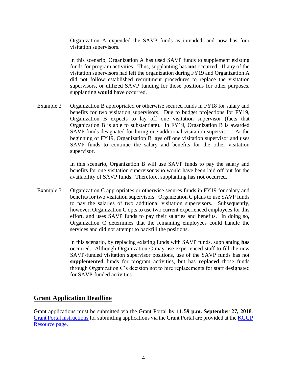Organization A expended the SAVP funds as intended, and now has four visitation supervisors.

In this scenario, Organization A has used SAVP funds to supplement existing funds for program activities. Thus, supplanting has **not** occurred. If any of the visitation supervisors had left the organization during FY19 and Organization A did not follow established recruitment procedures to replace the visitation supervisors, or utilized SAVP funding for those positions for other purposes, supplanting **would** have occurred.

Example 2 Organization B appropriated or otherwise secured funds in FY18 for salary and benefits for two visitation supervisors. Due to budget projections for FY19, Organization B expects to lay off one visitation supervisor (facts that Organization B is able to substantiate). In FY19, Organization B is awarded SAVP funds designated for hiring one additional visitation supervisor. At the beginning of FY19, Organization B lays off one visitation supervisor and uses SAVP funds to continue the salary and benefits for the other visitation supervisor.

> In this scenario, Organization B will use SAVP funds to pay the salary and benefits for one visitation supervisor who would have been laid off but for the availability of SAVP funds. Therefore, supplanting has **not** occurred.

Example 3 Organization C appropriates or otherwise secures funds in FY19 for salary and benefits for two visitation supervisors. Organization C plans to use SAVP funds to pay the salaries of two additional visitation supervisors. Subsequently, however, Organization C opts to use two current experienced employees for this effort, and uses SAVP funds to pay their salaries and benefits. In doing so, Organization C determines that the remaining employees could handle the services and did not attempt to backfill the positions.

> In this scenario, by replacing existing funds with SAVP funds, supplanting **has** occurred. Although Organization C may use experienced staff to fill the new SAVP-funded visitation supervisor positions, use of the SAVP funds has not **supplemented** funds for program activities, but has **replaced** those funds through Organization C's decision not to hire replacements for staff designated for SAVP-funded activities.

# **Grant Application Deadline**

Grant applications must be submitted via the Grant Portal **by 11:59 p.m. September 27, 2018**. [Grant Portal instructions](http://grants.ks.gov/docs/default-source/how-to-guides/application-portal-instructions.pdf?sfvrsn=4) for submitting applications via the Grant Portal are provided at the **KGGP** [Resource page.](http://www.grants.ks.gov/resources/getting-started)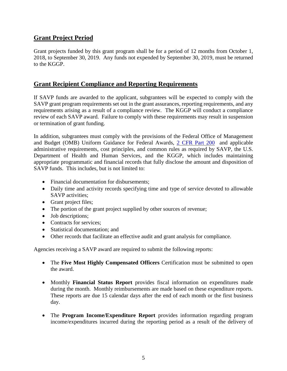# **Grant Project Period**

Grant projects funded by this grant program shall be for a period of 12 months from October 1, 2018, to September 30, 2019. Any funds not expended by September 30, 2019, must be returned to the KGGP.

# **Grant Recipient Compliance and Reporting Requirements**

If SAVP funds are awarded to the applicant, subgrantees will be expected to comply with the SAVP grant program requirements set out in the grant assurances, reporting requirements, and any requirements arising as a result of a compliance review. The KGGP will conduct a compliance review of each SAVP award. Failure to comply with these requirements may result in suspension or termination of grant funding.

In addition, subgrantees must comply with the provisions of the Federal Office of Management and Budget (OMB) Uniform Guidance for Federal Awards, [2 CFR Part 200](http://www.ecfr.gov/cgi-bin/text-idx?SID=2c6d1c9f8de1f9619110b4599d84a234&mc=true&node=pt2.1.200&rgn=div5#_top) and applicable administrative requirements, cost principles, and common rules as required by SAVP, the U.S. Department of Health and Human Services, and the KGGP, which includes maintaining appropriate programmatic and financial records that fully disclose the amount and disposition of SAVP funds. This includes, but is not limited to:

- Financial documentation for disbursements:
- Daily time and activity records specifying time and type of service devoted to allowable SAVP activities:
- Grant project files;
- The portion of the grant project supplied by other sources of revenue;
- Job descriptions;
- Contracts for services:
- Statistical documentation; and
- Other records that facilitate an effective audit and grant analysis for compliance.

Agencies receiving a SAVP award are required to submit the following reports:

- The **Five Most Highly Compensated Officers** Certification must be submitted to open the award.
- Monthly **Financial Status Report** provides fiscal information on expenditures made during the month. Monthly reimbursements are made based on these expenditure reports. These reports are due 15 calendar days after the end of each month or the first business day.
- The **Program Income/Expenditure Report** provides information regarding program income/expenditures incurred during the reporting period as a result of the delivery of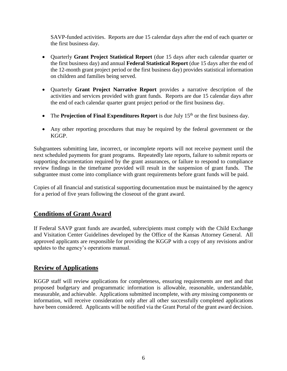SAVP-funded activities. Reports are due 15 calendar days after the end of each quarter or the first business day.

- Quarterly **Grant Project Statistical Report** (due 15 days after each calendar quarter or the first business day) and annual **Federal Statistical Report** (due 15 days after the end of the 12-month grant project period or the first business day) provides statistical information on children and families being served.
- Quarterly **Grant Project Narrative Report** provides a narrative description of the activities and services provided with grant funds. Reports are due 15 calendar days after the end of each calendar quarter grant project period or the first business day.
- The **Projection of Final Expenditures Report** is due July 15<sup>th</sup> or the first business day.
- Any other reporting procedures that may be required by the federal government or the KGGP.

Subgrantees submitting late, incorrect, or incomplete reports will not receive payment until the next scheduled payments for grant programs. Repeatedly late reports, failure to submit reports or supporting documentation required by the grant assurances, or failure to respond to compliance review findings in the timeframe provided will result in the suspension of grant funds. The subgrantee must come into compliance with grant requirements before grant funds will be paid.

Copies of all financial and statistical supporting documentation must be maintained by the agency for a period of five years following the closeout of the grant award.

# **Conditions of Grant Award**

If Federal SAVP grant funds are awarded, subrecipients must comply with the Child Exchange and Visitation Center Guidelines developed by the Office of the Kansas Attorney General. All approved applicants are responsible for providing the KGGP with a copy of any revisions and/or updates to the agency's operations manual.

# **Review of Applications**

KGGP staff will review applications for completeness, ensuring requirements are met and that proposed budgetary and programmatic information is allowable, reasonable, understandable, measurable, and achievable. Applications submitted incomplete, with *any* missing components or information, will receive consideration only after all other successfully completed applications have been considered. Applicants will be notified via the Grant Portal of the grant award decision.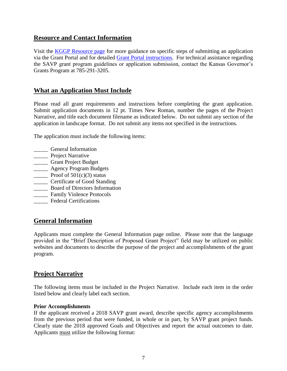# **Resource and Contact Information**

Visit the **KGGP** Resource page for more guidance on specific steps of submitting an application via the Grant Portal and for detailed [Grant Portal instructions.](http://grants.ks.gov/docs/default-source/how-to-guides/application-portal-instructions.pdf?sfvrsn=4) For technical assistance regarding the SAVP grant program guidelines or application submission, contact the Kansas Governor's Grants Program at 785-291-3205.

# **What an Application Must Include**

Please read all grant requirements and instructions before completing the grant application. Submit application documents in 12 pt. Times New Roman, number the pages of the Project Narrative, and title each document filename as indicated below. Do not submit any section of the application in landscape format. Do not submit any items not specified in the instructions.

The application must include the following items:

- \_\_\_\_\_ General Information
- **\_\_\_\_\_** Project Narrative
- \_\_\_\_\_ Grant Project Budget
- \_\_\_\_\_ Agency Program Budgets
- **Proof of 501(c)(3) status**
- \_\_\_\_\_ Certificate of Good Standing
- \_\_\_\_\_ Board of Directors Information
- \_\_\_\_\_ Family Violence Protocols
- \_\_\_\_\_ Federal Certifications

# **General Information**

Applicants must complete the General Information page online. Please note that the language provided in the "Brief Description of Proposed Grant Project" field may be utilized on public websites and documents to describe the purpose of the project and accomplishments of the grant program.

# **Project Narrative**

The following items must be included in the Project Narrative. Include each item in the order listed below and clearly label each section.

#### **Prior Accomplishments**

If the applicant received a 2018 SAVP grant award, describe specific agency accomplishments from the previous period that were funded, in whole or in part, by SAVP grant project funds. Clearly state the 2018 approved Goals and Objectives and report the actual outcomes to date. Applicants must utilize the following format: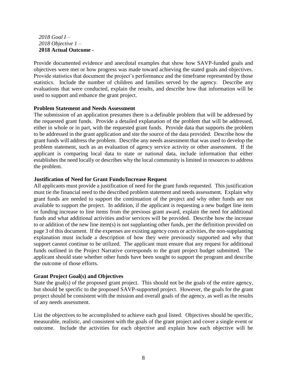#### *2018 Goal I – 2018 Objective 1 –* **2018 Actual Outcome -**

Provide documented evidence and anecdotal examples that show how SAVP-funded goals and objectives were met or how progress was made toward achieving the stated goals and objectives. Provide statistics that document the project's performance and the timeframe represented by those statistics. Include the number of children and families served by the agency. Describe any evaluations that were conducted, explain the results, and describe how that information will be used to support and enhance the grant project.

#### **Problem Statement and Needs Assessment**

The submission of an application presumes there is a definable problem that will be addressed by the requested grant funds. Provide a detailed explanation of the problem that will be addressed, either in whole or in part, with the requested grant funds. Provide data that supports the problem to be addressed in the grant application and site the source of the data provided. Describe how the grant funds will address the problem. Describe any needs assessment that was used to develop the problem statement, such as an evaluation of agency service activity or other assessment. If the applicant is comparing local data to state or national data, include information that either establishes the need locally or describes why the local community is limited in resources to address the problem.

#### **Justification of Need for Grant Funds/Increase Request**

All applicants must provide a justification of need for the grant funds requested. This justification must tie the financial need to the described problem statement and needs assessment. Explain why grant funds are needed to support the continuation of the project and why other funds are not available to support the project. In addition, if the applicant is requesting a new budget line item or funding increase to line items from the previous grant award, explain the need for additional funds and what additional activities and/or services will be provided. Describe how the increase to or addition of the new line item(s) is not supplanting other funds, per the definition provided on page 3 of this document. If the expenses are existing agency costs or activities, the non-supplanting explanation must include a description of how they were previously supported and why that support cannot continue to be utilized. The applicant must ensure that any request for additional funds outlined in the Project Narrative corresponds to the grant project budget submitted. The applicant should state whether other funds have been sought to support the program and describe the outcome of those efforts.

#### **Grant Project Goal(s) and Objectives**

State the goal(s) of the proposed grant project. This should not be the goals of the entire agency, but should be specific to the proposed SAVP-supported project. However, the goals for the grant project should be consistent with the mission and overall goals of the agency, as well as the results of any needs assessment.

List the objectives to be accomplished to achieve each goal listed. Objectives should be specific, measurable, realistic, and consistent with the goals of the grant project and cover a single event or outcome. Include the activities for each objective and explain how each objective will be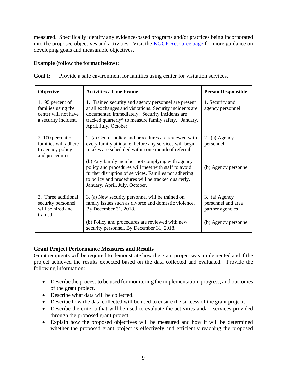measured. Specifically identify any evidence-based programs and/or practices being incorporated into the proposed objectives and activities. Visit the [KGGP Resource page](http://www.grants.ks.gov/resources/getting-started) for more guidance on developing goals and measurable objectives.

#### **Example (follow the format below):**

Goal I: Provide a safe environment for families using center for visitation services.

| Objective                                                                              | <b>Activities / Time Frame</b>                                                                                                                                                                                                                           | <b>Person Responsible</b>                               |
|----------------------------------------------------------------------------------------|----------------------------------------------------------------------------------------------------------------------------------------------------------------------------------------------------------------------------------------------------------|---------------------------------------------------------|
| 1. 95 percent of<br>families using the<br>center will not have<br>a security incident. | 1. Trained security and agency personnel are present<br>at all exchanges and visitations. Security incidents are<br>documented immediately. Security incidents are<br>tracked quarterly* to measure family safety. January,<br>April, July, October.     | 1. Security and<br>agency personnel                     |
| $2.100$ percent of<br>families will adhere<br>to agency policy<br>and procedures.      | 2. (a) Center policy and procedures are reviewed with<br>every family at intake, before any services will begin.<br>Intakes are scheduled within one month of referral                                                                                   | 2. (a) Agency<br>personnel                              |
|                                                                                        | (b) Any family member not complying with agency<br>policy and procedures will meet with staff to avoid<br>further disruption of services. Families not adhering<br>to policy and procedures will be tracked quarterly.<br>January, April, July, October. | (b) Agency personnel                                    |
| 3. Three additional<br>security personnel<br>will be hired and<br>trained.             | 3. (a) New security personnel will be trained on<br>family issues such as divorce and domestic violence.<br>By December 31, 2018.                                                                                                                        | 3. (a) Agency<br>personnel and area<br>partner agencies |
|                                                                                        | (b) Policy and procedures are reviewed with new<br>security personnel. By December 31, 2018.                                                                                                                                                             | (b) Agency personnel                                    |

# **Grant Project Performance Measures and Results**

Grant recipients will be required to demonstrate how the grant project was implemented and if the project achieved the results expected based on the data collected and evaluated. Provide the following information:

- Describe the process to be used for monitoring the implementation, progress, and outcomes of the grant project.
- Describe what data will be collected.
- Describe how the data collected will be used to ensure the success of the grant project.
- Describe the criteria that will be used to evaluate the activities and/or services provided through the proposed grant project.
- Explain how the proposed objectives will be measured and how it will be determined whether the proposed grant project is effectively and efficiently reaching the proposed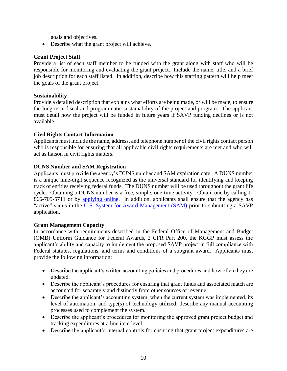goals and objectives.

• Describe what the grant project will achieve.

#### **Grant Project Staff**

Provide a list of each staff member to be funded with the grant along with staff who will be responsible for monitoring and evaluating the grant project. Include the name, title, and a brief job description for each staff listed. In addition, describe how this staffing pattern will help meet the goals of the grant project.

#### **Sustainability**

Provide a detailed description that explains what efforts are being made, or will be made, to ensure the long-term fiscal and programmatic sustainability of the project and program. The applicant must detail how the project will be funded in future years if SAVP funding declines or is not available.

#### **Civil Rights Contact Information**

Applicants must include the name, address, and telephone number of the civil rights contact person who is responsible for ensuring that all applicable civil rights requirements are met and who will act as liaison in civil rights matters.

#### **DUNS Number and SAM Registration**

Applicants must provide the agency's DUNS number and SAM expiration date. A DUNS number is a unique nine-digit sequence recognized as the universal standard for identifying and keeping track of entities receiving federal funds. The DUNS number will be used throughout the grant life cycle. Obtaining a DUNS number is a free, simple, one-time activity. Obtain one by calling 1- 866-705-5711 or by [applying online.](http://www.dnb.com/us/) In addition, applicants shall ensure that the agency has "active" status in the [U.S. System for Award Management \(SAM\)](http://www.sam.gov/) prior to submitting a SAVP application.

#### **Grant Management Capacity**

In accordance with requirements described in the Federal Office of Management and Budget (OMB) Uniform Guidance for Federal Awards, 2 CFR Part 200, the KGGP must assess the applicant's ability and capacity to implement the proposed SAVP project in full compliance with Federal statutes, regulations, and terms and conditions of a subgrant award. Applicants must provide the following information:

- Describe the applicant's written accounting policies and procedures and how often they are updated.
- Describe the applicant's procedures for ensuring that grant funds and associated match are accounted for separately and distinctly from other sources of revenue.
- Describe the applicant's accounting system, when the current system was implemented, its level of automation, and type(s) of technology utilized; describe any manual accounting processes used to complement the system.
- Describe the applicant's procedures for monitoring the approved grant project budget and tracking expenditures at a line item level.
- Describe the applicant's internal controls for ensuring that grant project expenditures are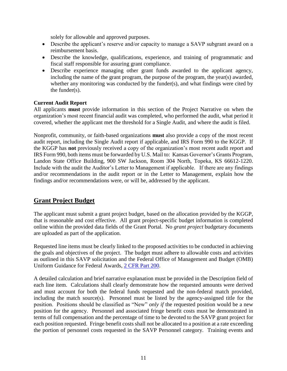solely for allowable and approved purposes.

- Describe the applicant's reserve and/or capacity to manage a SAVP subgrant award on a reimbursement basis.
- Describe the knowledge, qualifications, experience, and training of programmatic and fiscal staff responsible for assuring grant compliance.
- Describe experience managing other grant funds awarded to the applicant agency, including the name of the grant program, the purpose of the program, the year(s) awarded, whether any monitoring was conducted by the funder(s), and what findings were cited by the funder(s).

#### **Current Audit Report**

All applicants **must** provide information in this section of the Project Narrative on when the organization's most recent financial audit was completed, who performed the audit, what period it covered, whether the applicant met the threshold for a Single Audit, and where the audit is filed.

Nonprofit, community, or faith-based organizations **must** also provide a copy of the most recent audit report, including the Single Audit report if applicable, and IRS Form 990 to the KGGP. If the KGGP has **not** previously received a copy of the organization's most recent audit report and IRS Form 990, both items must be forwarded by U.S. Mail to: Kansas Governor's Grants Program, Landon State Office Building, 900 SW Jackson, Room 304 North, Topeka, KS 66612-1220. Include with the audit the Auditor's Letter to Management if applicable. If there are any findings and/or recommendations in the audit report or in the Letter to Management, explain how the findings and/or recommendations were, or will be, addressed by the applicant.

# **Grant Project Budget**

The applicant must submit a grant project budget, based on the allocation provided by the KGGP, that is reasonable and cost effective. All grant project-specific budget information is completed online within the provided data fields of the Grant Portal. No *grant project* budgetary documents are uploaded as part of the application.

Requested line items must be clearly linked to the proposed activities to be conducted in achieving the goals and objectives of the project. The budget must adhere to allowable costs and activities as outlined in this SAVP solicitation and the Federal Office of Management and Budget (OMB) Uniform Guidance for Federal Awards, [2 CFR Part 200.](http://www.ecfr.gov/cgi-bin/text-idx?SID=2c6d1c9f8de1f9619110b4599d84a234&mc=true&node=pt2.1.200&rgn=div5#_top)

A detailed calculation and brief narrative explanation must be provided in the Description field of each line item. Calculations shall clearly demonstrate how the requested amounts were derived and must account for both the federal funds requested and the non-federal match provided, including the match source(s). Personnel must be listed by the agency-assigned title for the position. Positions should be classified as "New" *only if* the requested position would be a new position for the agency. Personnel and associated fringe benefit costs must be demonstrated in terms of full compensation and the percentage of time to be devoted to the SAVP grant project for each position requested. Fringe benefit costs shall not be allocated to a position at a rate exceeding the portion of personnel costs requested in the SAVP Personnel category. Training events and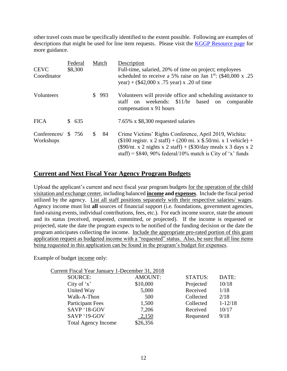other travel costs must be specifically identified to the extent possible. Following are examples of descriptions that might be used for line item requests. Please visit the [KGGP Resource page](http://www.grants.ks.gov/resources/getting-started) for more guidance.

| <b>CEVC</b><br>Coordinator |                | Federal<br>\$8,300 |    | Match | Description<br>Full-time, salaried, 20% of time on project; employees<br>scheduled to receive a 5% raise on Jan $1^{st}$ : (\$40,000 x .25)<br>year) + $(\$42,000 \times .75$ year) x .20 of time                                                                 |  |
|----------------------------|----------------|--------------------|----|-------|-------------------------------------------------------------------------------------------------------------------------------------------------------------------------------------------------------------------------------------------------------------------|--|
| Volunteers                 |                |                    | S. | 993   | Volunteers will provide office and scheduling assistance to<br>weekends: \$11/hr based<br>on<br>staff<br>$\alpha$<br>comparable<br>compensation x 91 hours                                                                                                        |  |
| <b>FICA</b>                | $\mathbb{S}^-$ | 635                |    |       | 7.65% x \$8,300 requested salaries                                                                                                                                                                                                                                |  |
| Conferences/<br>Workshops  |                | \$ 756             | \$ | 84    | Crime Victims' Rights Conference, April 2019, Wichita:<br>$($100$ registr. x 2 staff) + (200 mi. x \$.50/mi. x 1 vehicle) +<br>$(\$90/nt. x 2$ nights x 2 staff) + $(\$30/day$ meals x 3 days x 2<br>staff) = $$840, 90\%$ federal/10% match is City of 'x' funds |  |

# **Current and Next Fiscal Year Agency Program Budgets**

Upload the applicant's current and next fiscal year program budgets for the operation of the child visitation and exchange center, including balanced **income and expenses**. Include the fiscal period utilized by the agency. List all staff positions separately with their respective salaries/ wages. Agency income must list **all** sources of financial support (i.e. foundations, government agencies, fund-raising events, individual contributions, fees, etc.). For each income source, state the amount and its status (received, requested, committed, or projected). If the income is requested or projected, state the date the program expects to be notified of the funding decision or the date the program anticipates collecting the income. Include the appropriate pro-rated portion of this grant application request as budgeted income with a "requested" status. Also, be sure that all line items being requested in this application can be found in the program's budget for expenses.

Example of budget income only:

| Current Fiscal Year January 1-December 31, 2018 |                |                |             |
|-------------------------------------------------|----------------|----------------|-------------|
| <b>SOURCE:</b>                                  | <b>AMOUNT:</b> | <b>STATUS:</b> | DATE:       |
| City of $x'$                                    | \$10,000       | Projected      | 10/18       |
| United Way                                      | 5,000          | Received       | 1/18        |
| Walk-A-Thon                                     | 500            | Collected      | 2/18        |
| <b>Participant Fees</b>                         | 1,500          | Collected      | $1 - 12/18$ |
| SAVP '18-GOV                                    | 7,206          | Received       | 10/17       |
| SAVP '19-GOV                                    | 2,150          | Requested      | 9/18        |
| <b>Total Agency Income</b>                      | \$26,356       |                |             |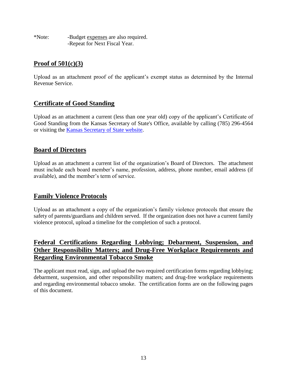\*Note: -Budget expenses are also required. -Repeat for Next Fiscal Year.

# **Proof of 501(c)(3)**

Upload as an attachment proof of the applicant's exempt status as determined by the Internal Revenue Service.

# **Certificate of Good Standing**

Upload as an attachment a current (less than one year old) copy of the applicant's Certificate of Good Standing from the Kansas Secretary of State's Office, available by calling (785) 296-4564 or visiting the [Kansas Secretary of State website.](http://www.kssos.org/other/certificate_good_standing.html)

# **Board of Directors**

Upload as an attachment a current list of the organization's Board of Directors. The attachment must include each board member's name, profession, address, phone number, email address (if available), and the member's term of service.

# **Family Violence Protocols**

Upload as an attachment a copy of the organization's family violence protocols that ensure the safety of parents/guardians and children served. If the organization does not have a current family violence protocol, upload a timeline for the completion of such a protocol.

# **Federal Certifications Regarding Lobbying; Debarment, Suspension, and Other Responsibility Matters; and Drug-Free Workplace Requirements and Regarding Environmental Tobacco Smoke**

The applicant must read, sign, and upload the two required certification forms regarding lobbying; debarment, suspension, and other responsibility matters; and drug-free workplace requirements and regarding environmental tobacco smoke. The certification forms are on the following pages of this document.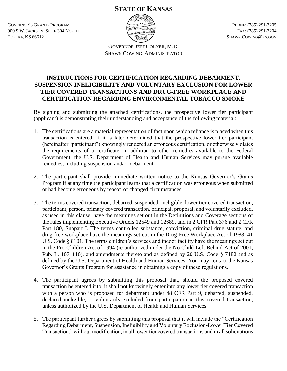# **STATE OF KANSAS**

GOVERNOR'S GRANTS PROGRAM 900 S.W. JACKSON, SUITE 304 NORTH TOPEKA, KS 66612



PHONE: (785) 291-3205 FAX: (785) 291-3204 SHAWN.COWING@KS.GOV

GOVERNOR JEFF COLYER, M.D. SHAWN COWING, ADMINISTRATOR

# **INSTRUCTIONS FOR CERTIFICATION REGARDING DEBARMENT, SUSPENSION INELIGIBILITY AND VOLUNTARY EXCLUSION FOR LOWER TIER COVERED TRANSACTIONS AND DRUG-FREE WORKPLACE AND CERTIFICATION REGARDING ENVIRONMENTAL TOBACCO SMOKE**

By signing and submitting the attached certifications, the prospective lower tier participant (applicant) is demonstrating their understanding and acceptance of the following material:

- 1. The certifications are a material representation of fact upon which reliance is placed when this transaction is entered. If it is later determined that the prospective lower tier participant (hereinafter "participant") knowingly rendered an erroneous certification, or otherwise violates the requirements of a certificate, in addition to other remedies available to the Federal Government, the U.S. Department of Health and Human Services may pursue available remedies, including suspension and/or debarment.
- 2. The participant shall provide immediate written notice to the Kansas Governor's Grants Program if at any time the participant learns that a certification was erroneous when submitted or had become erroneous by reason of changed circumstances.
- 3. The terms covered transaction, debarred, suspended, ineligible, lower tier covered transaction, participant, person, primary covered transaction, principal, proposal, and voluntarily excluded, as used in this clause, have the meanings set out in the Definitions and Coverage sections of the rules implementing Executive Orders 12549 and 12689, and in 2 CFR Part 376 and 2 CFR Part 180, Subpart I. The terms controlled substance, conviction, criminal drug statute, and drug-free workplace have the meanings set out in the Drug-Free Workplace Act of 1988, 41 U.S. Code § 8101. The terms children's services and indoor facility have the meanings set out in the Pro-Children Act of 1994 (re-authorized under the No Child Left Behind Act of 2001, Pub. L. 107–110), and amendments thereto and as defined by 20 U.S. Code § 7182 and as defined by the U.S. Department of Health and Human Services. You may contact the Kansas Governor's Grants Program for assistance in obtaining a copy of these regulations.
- 4. The participant agrees by submitting this proposal that, should the proposed covered transaction be entered into, it shall not knowingly enter into any lower tier covered transaction with a person who is proposed for debarment under 48 CFR Part 9, debarred, suspended, declared ineligible, or voluntarily excluded from participation in this covered transaction, unless authorized by the U.S. Department of Health and Human Services.
- 5. The participant further agrees by submitting this proposal that it will include the "Certification Regarding Debarment, Suspension, Ineligibility and Voluntary Exclusion-Lower Tier Covered Transaction," without modification, in all lower tier covered transactions and in all solicitations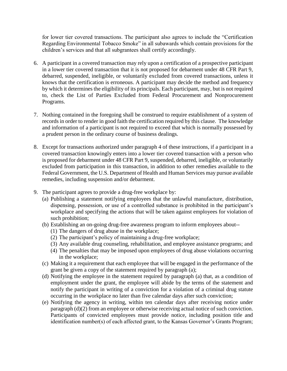for lower tier covered transactions. The participant also agrees to include the "Certification Regarding Environmental Tobacco Smoke" in all subawards which contain provisions for the children's services and that all subgrantees shall certify accordingly.

- 6. A participant in a covered transaction may rely upon a certification of a prospective participant in a lower tier covered transaction that it is not proposed for debarment under 48 CFR Part 9, debarred, suspended, ineligible, or voluntarily excluded from covered transactions, unless it knows that the certification is erroneous. A participant may decide the method and frequency by which it determines the eligibility of its principals. Each participant, may, but is not required to, check the List of Parties Excluded from Federal Procurement and Nonprocurement Programs.
- 7. Nothing contained in the foregoing shall be construed to require establishment of a system of records in order to render in good faith the certification required by this clause. The knowledge and information of a participant is not required to exceed that which is normally possessed by a prudent person in the ordinary course of business dealings.
- 8. Except for transactions authorized under paragraph 4 of these instructions, if a participant in a covered transaction knowingly enters into a lower tier covered transaction with a person who is proposed for debarment under 48 CFR Part 9, suspended, debarred, ineligible, or voluntarily excluded from participation in this transaction, in addition to other remedies available to the Federal Government, the U.S. Department of Health and Human Services may pursue available remedies, including suspension and/or debarment.
- 9. The participant agrees to provide a drug-free workplace by:
	- (a) Publishing a statement notifying employees that the unlawful manufacture, distribution, dispensing, possession, or use of a controlled substance is prohibited in the participant's workplace and specifying the actions that will be taken against employees for violation of such prohibition;
	- (b) Establishing an on-going drug-free awareness program to inform employees about--
		- (1) The dangers of drug abuse in the workplace;
		- (2) The participant's policy of maintaining a drug-free workplace;
		- (3) Any available drug counseling, rehabilitation, and employee assistance programs; and
		- (4) The penalties that may be imposed upon employees of drug abuse violations occurring in the workplace;
	- (c) Making it a requirement that each employee that will be engaged in the performance of the grant be given a copy of the statement required by paragraph (a);
	- (d) Notifying the employee in the statement required by paragraph (a) that, as a condition of employment under the grant, the employee will abide by the terms of the statement and notify the participant in writing of a conviction for a violation of a criminal drug statute occurring in the workplace no later than five calendar days after such conviction;
	- (e) Notifying the agency in writing, within ten calendar days after receiving notice under paragraph (d)(2) from an employee or otherwise receiving actual notice of such conviction. Participants of convicted employees must provide notice, including position title and identification number(s) of each affected grant, to the Kansas Governor's Grants Program;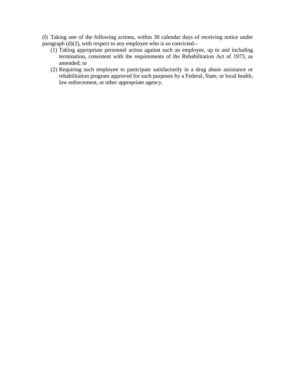(f) Taking one of the following actions, within 30 calendar days of receiving notice under paragraph  $(d)(2)$ , with respect to any employee who is so convicted--

- (1) Taking appropriate personnel action against such an employee, up to and including termination, consistent with the requirements of the Rehabilitation Act of 1973, as amended; or
- (2) Requiring such employee to participate satisfactorily in a drug abuse assistance or rehabilitation program approved for such purposes by a Federal, State, or local health, law enforcement, or other appropriate agency.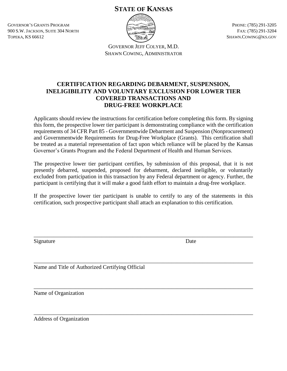# **STATE OF KANSAS**

GOVERNOR'S GRANTS PROGRAM 900 S.W. JACKSON, SUITE 304 NORTH TOPEKA, KS 66612



PHONE: (785) 291-3205 FAX: (785) 291-3204 SHAWN.COWING@KS.GOV

GOVERNOR JEFF COLYER, M.D. SHAWN COWING, ADMINISTRATOR

# **CERTIFICATION REGARDING DEBARMENT, SUSPENSION, INELIGIBILITY AND VOLUNTARY EXCLUSION FOR LOWER TIER COVERED TRANSACTIONS AND DRUG-FREE WORKPLACE**

Applicants should review the instructions for certification before completing this form. By signing this form, the prospective lower tier participant is demonstrating compliance with the certification requirements of 34 CFR Part 85 - Governmentwide Debarment and Suspension (Nonprocurement) and Governmentwide Requirements for Drug-Free Workplace (Grants). This certification shall be treated as a material representation of fact upon which reliance will be placed by the Kansas Governor's Grants Program and the Federal Department of Health and Human Services.

The prospective lower tier participant certifies, by submission of this proposal, that it is not presently debarred, suspended, proposed for debarment, declared ineligible, or voluntarily excluded from participation in this transaction by any Federal department or agency. Further, the participant is certifying that it will make a good faith effort to maintain a drug-free workplace.

If the prospective lower tier participant is unable to certify to any of the statements in this certification, such prospective participant shall attach an explanation to this certification.

\_\_\_\_\_\_\_\_\_\_\_\_\_\_\_\_\_\_\_\_\_\_\_\_\_\_\_\_\_\_\_\_\_\_\_\_\_\_\_\_\_\_\_\_\_\_\_\_\_\_\_\_\_\_\_\_\_\_\_\_\_\_\_\_\_\_\_\_\_\_\_\_\_\_\_\_\_\_

\_\_\_\_\_\_\_\_\_\_\_\_\_\_\_\_\_\_\_\_\_\_\_\_\_\_\_\_\_\_\_\_\_\_\_\_\_\_\_\_\_\_\_\_\_\_\_\_\_\_\_\_\_\_\_\_\_\_\_\_\_\_\_\_\_\_\_\_\_\_\_\_\_\_\_\_\_\_

\_\_\_\_\_\_\_\_\_\_\_\_\_\_\_\_\_\_\_\_\_\_\_\_\_\_\_\_\_\_\_\_\_\_\_\_\_\_\_\_\_\_\_\_\_\_\_\_\_\_\_\_\_\_\_\_\_\_\_\_\_\_\_\_\_\_\_\_\_\_\_\_\_\_\_\_\_\_

Signature Date

Name and Title of Authorized Certifying Official

\_\_\_\_\_\_\_\_\_\_\_\_\_\_\_\_\_\_\_\_\_\_\_\_\_\_\_\_\_\_\_\_\_\_\_\_\_\_\_\_\_\_\_\_\_\_\_\_\_\_\_\_\_\_\_\_\_\_\_\_\_\_\_\_\_\_\_\_\_\_\_\_\_\_\_\_\_\_ Name of Organization

Address of Organization